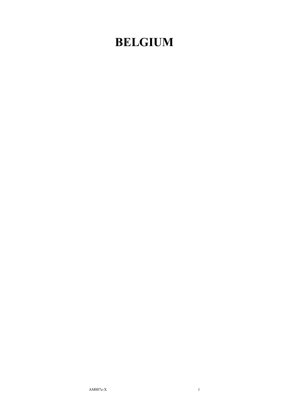## **BELGIUM**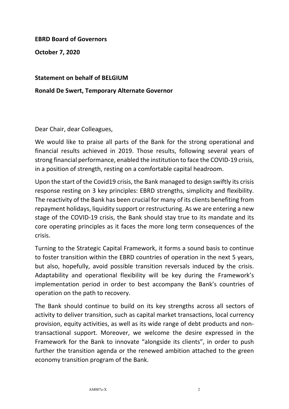**EBRD Board of Governors** 

**October 7, 2020** 

## **Statement on behalf of BELGIUM**

## **Ronald De Swert, Temporary Alternate Governor**

Dear Chair, dear Colleagues,

We would like to praise all parts of the Bank for the strong operational and financial results achieved in 2019. Those results, following several years of strong financial performance, enabled the institution to face the COVID‐19 crisis, in a position of strength, resting on a comfortable capital headroom.

Upon the start of the Covid19 crisis, the Bank managed to design swiftly its crisis response resting on 3 key principles: EBRD strengths, simplicity and flexibility. The reactivity of the Bank has been crucial for many of its clients benefiting from repayment holidays, liquidity support or restructuring. As we are entering a new stage of the COVID‐19 crisis, the Bank should stay true to its mandate and its core operating principles as it faces the more long term consequences of the crisis.

Turning to the Strategic Capital Framework, it forms a sound basis to continue to foster transition within the EBRD countries of operation in the next 5 years, but also, hopefully, avoid possible transition reversals induced by the crisis. Adaptability and operational flexibility will be key during the Framework's implementation period in order to best accompany the Bank's countries of operation on the path to recovery.

The Bank should continue to build on its key strengths across all sectors of activity to deliver transition, such as capital market transactions, local currency provision, equity activities, as well as its wide range of debt products and non‐ transactional support. Moreover, we welcome the desire expressed in the Framework for the Bank to innovate "alongside its clients", in order to push further the transition agenda or the renewed ambition attached to the green economy transition program of the Bank.